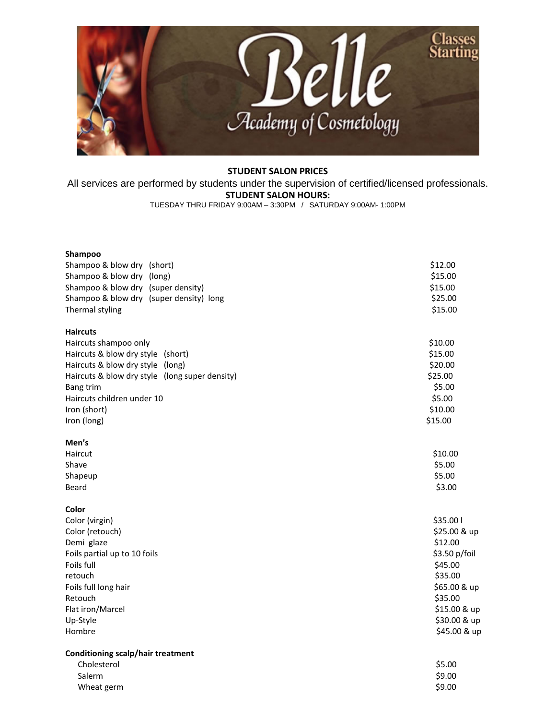

## **STUDENT SALON PRICES**

All services are performed by students under the supervision of certified/licensed professionals. **STUDENT SALON HOURS:**

TUESDAY THRU FRIDAY 9:00AM – 3:30PM / SATURDAY 9:00AM- 1:00PM

| Shampoo                                        |               |
|------------------------------------------------|---------------|
| Shampoo & blow dry (short)                     | \$12.00       |
| Shampoo & blow dry (long)                      | \$15.00       |
| Shampoo & blow dry (super density)             | \$15.00       |
| Shampoo & blow dry (super density) long        | \$25.00       |
| Thermal styling                                | \$15.00       |
| <b>Haircuts</b>                                |               |
| Haircuts shampoo only                          | \$10.00       |
| Haircuts & blow dry style (short)              | \$15.00       |
| Haircuts & blow dry style (long)               | \$20.00       |
| Haircuts & blow dry style (long super density) | \$25.00       |
| <b>Bang trim</b>                               | \$5.00        |
| Haircuts children under 10                     | \$5.00        |
| Iron (short)                                   | \$10.00       |
| Iron (long)                                    | \$15.00       |
| Men's                                          |               |
| Haircut                                        | \$10.00       |
| Shave                                          | \$5.00        |
| Shapeup                                        | \$5.00        |
| Beard                                          | \$3.00        |
| Color                                          |               |
| Color (virgin)                                 | \$35.00 l     |
| Color (retouch)                                | \$25.00 & up  |
| Demi glaze                                     | \$12.00       |
| Foils partial up to 10 foils                   | \$3.50 p/foil |
| Foils full                                     | \$45.00       |
| retouch                                        | \$35.00       |
| Foils full long hair                           | \$65.00 & up  |
| Retouch                                        | \$35.00       |
| Flat iron/Marcel                               | \$15.00 & up  |
| Up-Style                                       | \$30.00 & up  |
| Hombre                                         | \$45.00 & up  |
| <b>Conditioning scalp/hair treatment</b>       |               |
| Cholesterol                                    | \$5.00        |
| Salerm                                         | \$9.00        |
| Wheat germ                                     | \$9.00        |
|                                                |               |